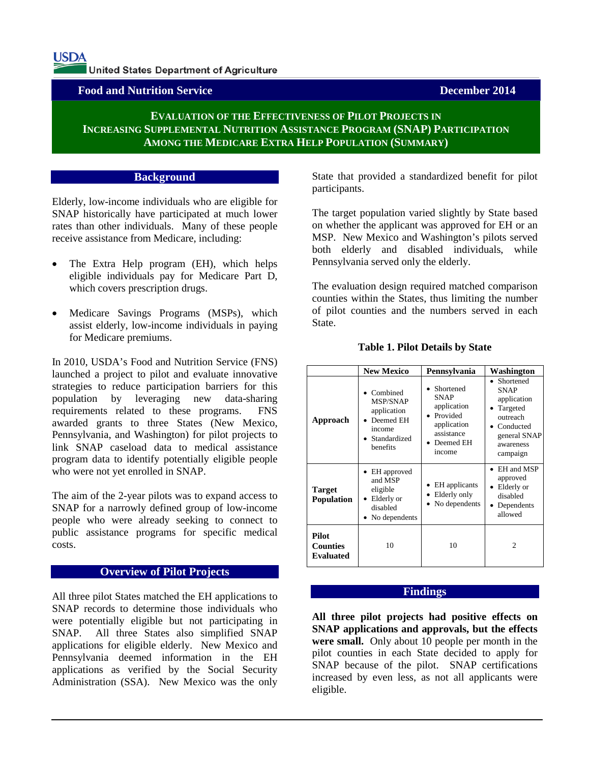**USDA** 

United States Department of Agriculture

**Food and Nutrition Service December 2014**

# **EVALUATION OF THE EFFECTIVENESS OF PILOT PROJECTS IN INCREASING SUPPLEMENTAL NUTRITION ASSISTANCE PROGRAM (SNAP) PARTICIPATION AMONG THE MEDICARE EXTRA HELP POPULATION (SUMMARY)**

### **Background**

Elderly, low-income individuals who are eligible for SNAP historically have participated at much lower rates than other individuals. Many of these people receive assistance from Medicare, including:

- The Extra Help program (EH), which helps eligible individuals pay for Medicare Part D, which covers prescription drugs.
- Medicare Savings Programs (MSPs), which assist elderly, low-income individuals in paying for Medicare premiums.

In 2010, USDA's Food and Nutrition Service (FNS) launched a project to pilot and evaluate innovative strategies to reduce participation barriers for this population by leveraging new data-sharing requirements related to these programs. FNS awarded grants to three States (New Mexico, Pennsylvania, and Washington) for pilot projects to link SNAP caseload data to medical assistance program data to identify potentially eligible people who were not yet enrolled in SNAP.

The aim of the 2-year pilots was to expand access to SNAP for a narrowly defined group of low-income people who were already seeking to connect to public assistance programs for specific medical costs.

## **Overview of Pilot Projects**

All three pilot States matched the EH applications to SNAP records to determine those individuals who were potentially eligible but not participating in SNAP. All three States also simplified SNAP applications for eligible elderly. New Mexico and Pennsylvania deemed information in the EH applications as verified by the Social Security Administration (SSA). New Mexico was the only

State that provided a standardized benefit for pilot participants.

The target population varied slightly by State based on whether the applicant was approved for EH or an MSP. New Mexico and Washington's pilots served both elderly and disabled individuals, while Pennsylvania served only the elderly.

The evaluation design required matched comparison counties within the States, thus limiting the number of pilot counties and the numbers served in each State.

|                                              | <b>New Mexico</b>                                                                      | Pennsylvania                                                                                            | Washington                                                                                                              |
|----------------------------------------------|----------------------------------------------------------------------------------------|---------------------------------------------------------------------------------------------------------|-------------------------------------------------------------------------------------------------------------------------|
| Approach                                     | Combined<br>MSP/SNAP<br>application<br>Deemed EH<br>income<br>Standardized<br>benefits | Shortened<br><b>SNAP</b><br>application<br>Provided<br>application<br>assistance<br>Deemed EH<br>income | • Shortened<br><b>SNAP</b><br>application<br>Targeted<br>outreach<br>Conducted<br>general SNAP<br>awareness<br>campaign |
| Target<br><b>Population</b>                  | EH approved<br>and MSP<br>eligible<br>Elderly or<br>disabled<br>No dependents          | EH applicants<br>Elderly only<br>No dependents                                                          | EH and MSP<br>approved<br>Elderly or<br>disabled<br>Dependents<br>allowed                                               |
| <b>Pilot</b><br><b>Counties</b><br>Evaluated | 10                                                                                     | 10                                                                                                      | $\mathfrak{D}$                                                                                                          |

#### **Table 1. Pilot Details by State**

#### **Findings**

**All three pilot projects had positive effects on SNAP applications and approvals, but the effects were small.** Only about 10 people per month in the pilot counties in each State decided to apply for SNAP because of the pilot. SNAP certifications increased by even less, as not all applicants were eligible.